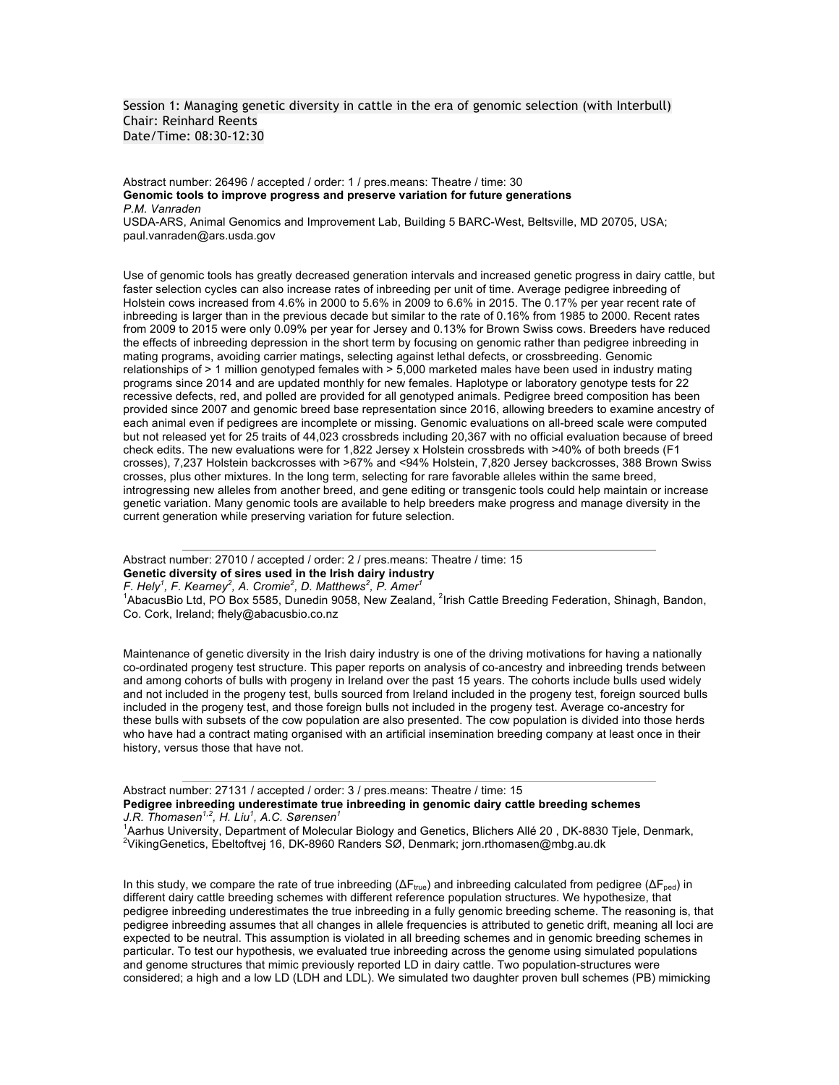Session 1: Managing genetic diversity in cattle in the era of genomic selection (with Interbull) Chair: Reinhard Reents Date/Time: 08:30-12:30

Abstract number: 26496 / accepted / order: 1 / pres.means: Theatre / time: 30 **Genomic tools to improve progress and preserve variation for future generations** *P.M. Vanraden* USDA-ARS, Animal Genomics and Improvement Lab, Building 5 BARC-West, Beltsville, MD 20705, USA; paul.vanraden@ars.usda.gov

Use of genomic tools has greatly decreased generation intervals and increased genetic progress in dairy cattle, but faster selection cycles can also increase rates of inbreeding per unit of time. Average pedigree inbreeding of Holstein cows increased from 4.6% in 2000 to 5.6% in 2009 to 6.6% in 2015. The 0.17% per year recent rate of inbreeding is larger than in the previous decade but similar to the rate of 0.16% from 1985 to 2000. Recent rates from 2009 to 2015 were only 0.09% per year for Jersey and 0.13% for Brown Swiss cows. Breeders have reduced the effects of inbreeding depression in the short term by focusing on genomic rather than pedigree inbreeding in mating programs, avoiding carrier matings, selecting against lethal defects, or crossbreeding. Genomic relationships of > 1 million genotyped females with > 5,000 marketed males have been used in industry mating programs since 2014 and are updated monthly for new females. Haplotype or laboratory genotype tests for 22 recessive defects, red, and polled are provided for all genotyped animals. Pedigree breed composition has been provided since 2007 and genomic breed base representation since 2016, allowing breeders to examine ancestry of each animal even if pedigrees are incomplete or missing. Genomic evaluations on all-breed scale were computed but not released yet for 25 traits of 44,023 crossbreds including 20,367 with no official evaluation because of breed check edits. The new evaluations were for 1,822 Jersey x Holstein crossbreds with >40% of both breeds (F1 crosses), 7,237 Holstein backcrosses with >67% and <94% Holstein, 7,820 Jersey backcrosses, 388 Brown Swiss crosses, plus other mixtures. In the long term, selecting for rare favorable alleles within the same breed, introgressing new alleles from another breed, and gene editing or transgenic tools could help maintain or increase genetic variation. Many genomic tools are available to help breeders make progress and manage diversity in the current generation while preserving variation for future selection.

Abstract number: 27010 / accepted / order: 2 / pres.means: Theatre / time: 15 **Genetic diversity of sires used in the Irish dairy industry**  *F. Hely<sup>1</sup> , F. Kearney<sup>2</sup> , A. Cromie<sup>2</sup> , D. Matthews<sup>2</sup> , P. Amer<sup>1</sup>* <sup>1</sup>AbacusBio Ltd, PO Box 5585, Dunedin 9058, New Zealand, <sup>2</sup>Irish Cattle Breeding Federation, Shinagh, Bandon, Co. Cork, Ireland; fhely@abacusbio.co.nz

Maintenance of genetic diversity in the Irish dairy industry is one of the driving motivations for having a nationally co-ordinated progeny test structure. This paper reports on analysis of co-ancestry and inbreeding trends between and among cohorts of bulls with progeny in Ireland over the past 15 years. The cohorts include bulls used widely and not included in the progeny test, bulls sourced from Ireland included in the progeny test, foreign sourced bulls included in the progeny test, and those foreign bulls not included in the progeny test. Average co-ancestry for these bulls with subsets of the cow population are also presented. The cow population is divided into those herds who have had a contract mating organised with an artificial insemination breeding company at least once in their history, versus those that have not.

Abstract number: 27131 / accepted / order: 3 / pres.means: Theatre / time: 15 **Pedigree inbreeding underestimate true inbreeding in genomic dairy cattle breeding schemes**

J.R. Thomasen<sup>1,2</sup>, H. Liu<sup>1</sup>, A.C. Sørensen<sup>1</sup><br><sup>1</sup>Aarhus University, Department of Molecular Biology and Genetics, Blichers Allé 20 , DK-8830 Tjele, Denmark,<br><sup>2</sup> fikingConetics, Ebeltettyei 16, DK-8060 Dendere SG, Denmark <sup>2</sup>VikingGenetics, Ebeltoftvej 16, DK-8960 Randers SØ, Denmark; jorn.rthomasen@mbg.au.dk

In this study, we compare the rate of true inbreeding ( $\Delta F_{true}$ ) and inbreeding calculated from pedigree ( $\Delta F_{ped}$ ) in different dairy cattle breeding schemes with different reference population structures. We hypothesize, that pedigree inbreeding underestimates the true inbreeding in a fully genomic breeding scheme. The reasoning is, that pedigree inbreeding assumes that all changes in allele frequencies is attributed to genetic drift, meaning all loci are expected to be neutral. This assumption is violated in all breeding schemes and in genomic breeding schemes in particular. To test our hypothesis, we evaluated true inbreeding across the genome using simulated populations and genome structures that mimic previously reported LD in dairy cattle. Two population-structures were considered; a high and a low LD (LDH and LDL). We simulated two daughter proven bull schemes (PB) mimicking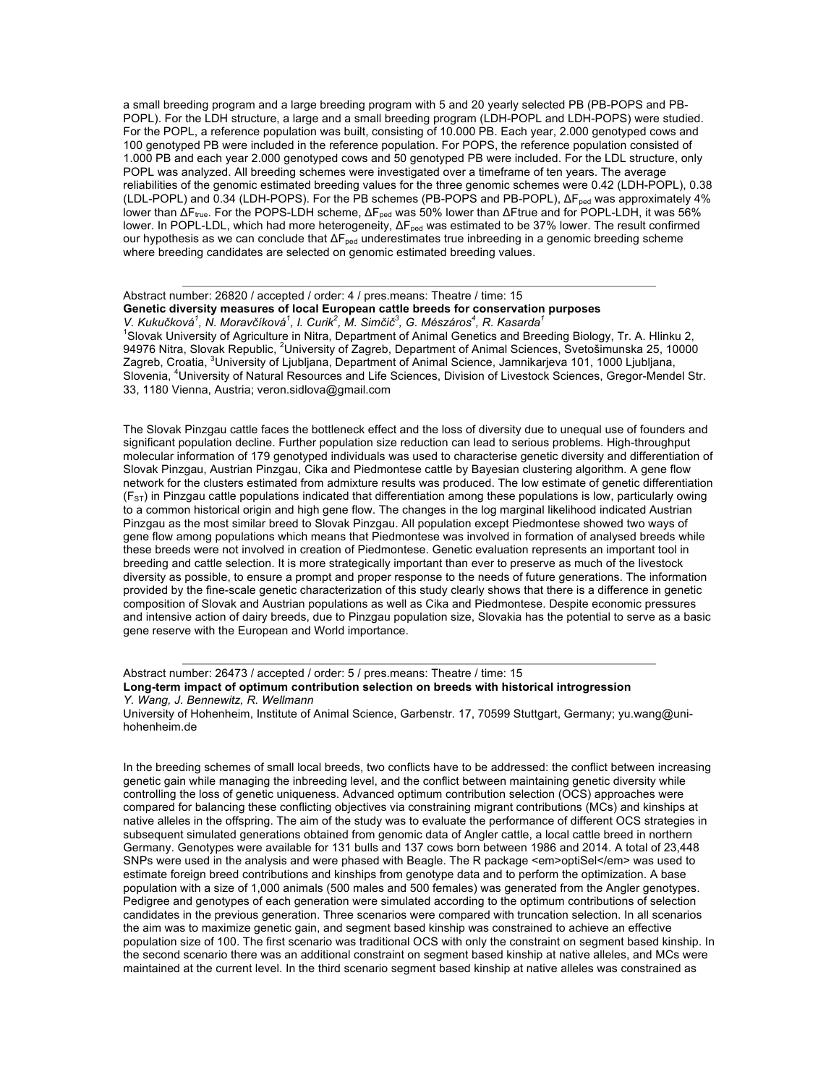a small breeding program and a large breeding program with 5 and 20 yearly selected PB (PB-POPS and PB-POPL). For the LDH structure, a large and a small breeding program (LDH-POPL and LDH-POPS) were studied. For the POPL, a reference population was built, consisting of 10.000 PB. Each year, 2.000 genotyped cows and 100 genotyped PB were included in the reference population. For POPS, the reference population consisted of 1.000 PB and each year 2.000 genotyped cows and 50 genotyped PB were included. For the LDL structure, only POPL was analyzed. All breeding schemes were investigated over a timeframe of ten years. The average reliabilities of the genomic estimated breeding values for the three genomic schemes were 0.42 (LDH-POPL), 0.38 (LDL-POPL) and 0.34 (LDH-POPS). For the PB schemes (PB-POPS and PB-POPL), ΔF<sub>ped</sub> was approximately 4% lower than  $\Delta F_{true}$ . For the POPS-LDH scheme,  $\Delta F_{ped}$  was 50% lower than  $\Delta F$ true and for POPL-LDH, it was 56% lower. In POPL-LDL, which had more heterogeneity, ΔF<sub>ped</sub> was estimated to be 37% lower. The result confirmed our hypothesis as we can conclude that ΔF<sub>ped</sub> underestimates true inbreeding in a genomic breeding scheme where breeding candidates are selected on genomic estimated breeding values.

Abstract number: 26820 / accepted / order: 4 / pres.means: Theatre / time: 15 **Genetic diversity measures of local European cattle breeds for conservation purposes** *V. Kukučková<sup>1</sup> , N. Moravčíková<sup>1</sup> , I. Curik<sup>2</sup> , M. Simčič<sup>3</sup> , G. Mészáros<sup>4</sup> , R. Kasarda<sup>1</sup>* 1 Slovak University of Agriculture in Nitra, Department of Animal Genetics and Breeding Biology, Tr. A. Hlinku 2, 94976 Nitra, Slovak Republic, <sup>2</sup>University of Zagreb, Department of Animal Sciences, Svetošimunska 25, 10000 Zagreb, Croatia, <sup>3</sup>University of Ljubljana, Department of Animal Science, Jamnikarjeva 101, 1000 Ljubljana, Slovenia, <sup>4</sup>University of Natural Resources and Life Sciences, Division of Livestock Sciences, Gregor-Mendel Str. 33, 1180 Vienna, Austria; veron.sidlova@gmail.com

The Slovak Pinzgau cattle faces the bottleneck effect and the loss of diversity due to unequal use of founders and significant population decline. Further population size reduction can lead to serious problems. High-throughput molecular information of 179 genotyped individuals was used to characterise genetic diversity and differentiation of Slovak Pinzgau, Austrian Pinzgau, Cika and Piedmontese cattle by Bayesian clustering algorithm. A gene flow network for the clusters estimated from admixture results was produced. The low estimate of genetic differentiation  $(F<sub>ST</sub>)$  in Pinzgau cattle populations indicated that differentiation among these populations is low, particularly owing to a common historical origin and high gene flow. The changes in the log marginal likelihood indicated Austrian Pinzgau as the most similar breed to Slovak Pinzgau. All population except Piedmontese showed two ways of gene flow among populations which means that Piedmontese was involved in formation of analysed breeds while these breeds were not involved in creation of Piedmontese. Genetic evaluation represents an important tool in breeding and cattle selection. It is more strategically important than ever to preserve as much of the livestock diversity as possible, to ensure a prompt and proper response to the needs of future generations. The information provided by the fine-scale genetic characterization of this study clearly shows that there is a difference in genetic composition of Slovak and Austrian populations as well as Cika and Piedmontese. Despite economic pressures and intensive action of dairy breeds, due to Pinzgau population size, Slovakia has the potential to serve as a basic gene reserve with the European and World importance.

Abstract number: 26473 / accepted / order: 5 / pres.means: Theatre / time: 15 **Long-term impact of optimum contribution selection on breeds with historical introgression** *Y. Wang, J. Bennewitz, R. Wellmann*

University of Hohenheim, Institute of Animal Science, Garbenstr. 17, 70599 Stuttgart, Germany; yu.wang@unihohenheim.de

In the breeding schemes of small local breeds, two conflicts have to be addressed: the conflict between increasing genetic gain while managing the inbreeding level, and the conflict between maintaining genetic diversity while controlling the loss of genetic uniqueness. Advanced optimum contribution selection (OCS) approaches were compared for balancing these conflicting objectives via constraining migrant contributions (MCs) and kinships at native alleles in the offspring. The aim of the study was to evaluate the performance of different OCS strategies in subsequent simulated generations obtained from genomic data of Angler cattle, a local cattle breed in northern Germany. Genotypes were available for 131 bulls and 137 cows born between 1986 and 2014. A total of 23,448 SNPs were used in the analysis and were phased with Beagle. The R package <em>optiSel</em> was used to estimate foreign breed contributions and kinships from genotype data and to perform the optimization. A base population with a size of 1,000 animals (500 males and 500 females) was generated from the Angler genotypes. Pedigree and genotypes of each generation were simulated according to the optimum contributions of selection candidates in the previous generation. Three scenarios were compared with truncation selection. In all scenarios the aim was to maximize genetic gain, and segment based kinship was constrained to achieve an effective population size of 100. The first scenario was traditional OCS with only the constraint on segment based kinship. In the second scenario there was an additional constraint on segment based kinship at native alleles, and MCs were maintained at the current level. In the third scenario segment based kinship at native alleles was constrained as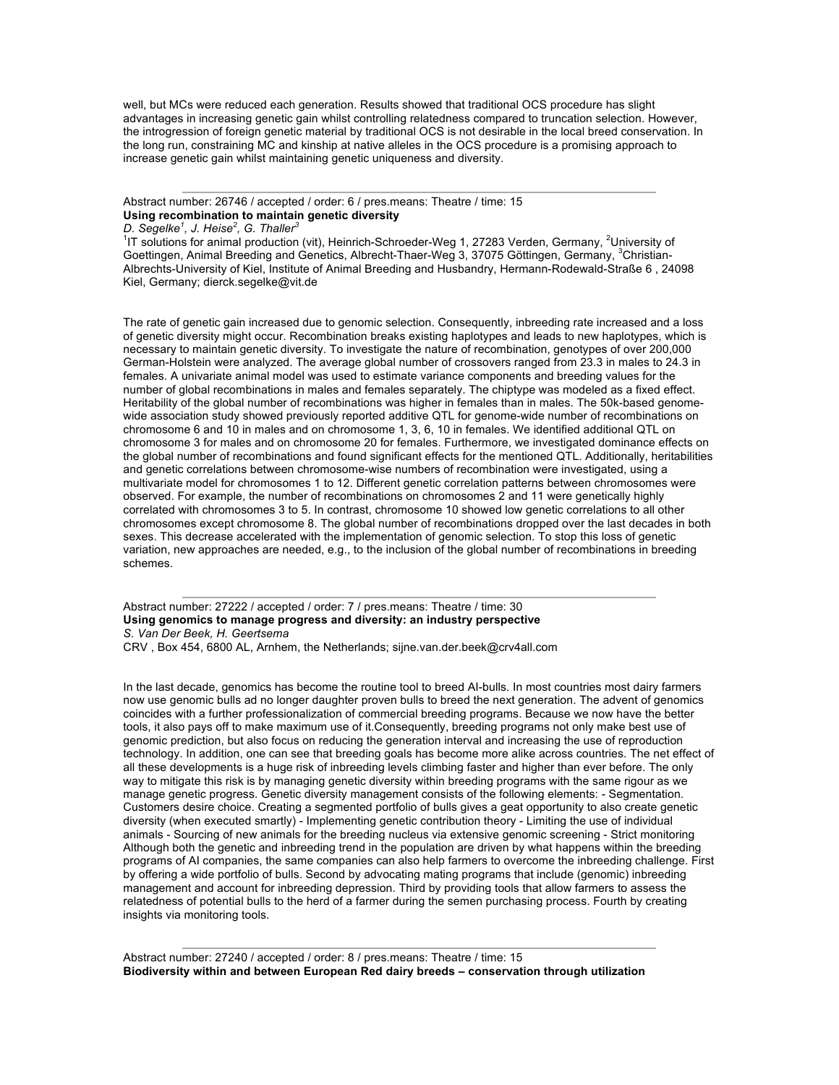well, but MCs were reduced each generation. Results showed that traditional OCS procedure has slight advantages in increasing genetic gain whilst controlling relatedness compared to truncation selection. However, the introgression of foreign genetic material by traditional OCS is not desirable in the local breed conservation. In the long run, constraining MC and kinship at native alleles in the OCS procedure is a promising approach to increase genetic gain whilst maintaining genetic uniqueness and diversity.

## Abstract number: 26746 / accepted / order: 6 / pres.means: Theatre / time: 15 **Using recombination to maintain genetic diversity**

*D. Segelke<sup>1</sup> , J. Heise<sup>2</sup> , G. Thaller<sup>3</sup>*

<sup>1</sup>IT solutions for animal production (vit), Heinrich-Schroeder-Weg 1, 27283 Verden, Germany, <sup>2</sup>University of Goettingen, Animal Breeding and Genetics, Albrecht-Thaer-Weg 3, 37075 Göttingen, Germany, <sup>3</sup>Christian-Albrechts-University of Kiel, Institute of Animal Breeding and Husbandry, Hermann-Rodewald-Straße 6 , 24098 Kiel, Germany; dierck.segelke@vit.de

The rate of genetic gain increased due to genomic selection. Consequently, inbreeding rate increased and a loss of genetic diversity might occur. Recombination breaks existing haplotypes and leads to new haplotypes, which is necessary to maintain genetic diversity. To investigate the nature of recombination, genotypes of over 200,000 German-Holstein were analyzed. The average global number of crossovers ranged from 23.3 in males to 24.3 in females. A univariate animal model was used to estimate variance components and breeding values for the number of global recombinations in males and females separately. The chiptype was modeled as a fixed effect. Heritability of the global number of recombinations was higher in females than in males. The 50k-based genomewide association study showed previously reported additive QTL for genome-wide number of recombinations on chromosome 6 and 10 in males and on chromosome 1, 3, 6, 10 in females. We identified additional QTL on chromosome 3 for males and on chromosome 20 for females. Furthermore, we investigated dominance effects on the global number of recombinations and found significant effects for the mentioned QTL. Additionally, heritabilities and genetic correlations between chromosome-wise numbers of recombination were investigated, using a multivariate model for chromosomes 1 to 12. Different genetic correlation patterns between chromosomes were observed. For example, the number of recombinations on chromosomes 2 and 11 were genetically highly correlated with chromosomes 3 to 5. In contrast, chromosome 10 showed low genetic correlations to all other chromosomes except chromosome 8. The global number of recombinations dropped over the last decades in both sexes. This decrease accelerated with the implementation of genomic selection. To stop this loss of genetic variation, new approaches are needed, e.g., to the inclusion of the global number of recombinations in breeding schemes.

Abstract number: 27222 / accepted / order: 7 / pres.means: Theatre / time: 30 **Using genomics to manage progress and diversity: an industry perspective** *S. Van Der Beek, H. Geertsema*

CRV , Box 454, 6800 AL, Arnhem, the Netherlands; sijne.van.der.beek@crv4all.com

In the last decade, genomics has become the routine tool to breed AI-bulls. In most countries most dairy farmers now use genomic bulls ad no longer daughter proven bulls to breed the next generation. The advent of genomics coincides with a further professionalization of commercial breeding programs. Because we now have the better tools, it also pays off to make maximum use of it.Consequently, breeding programs not only make best use of genomic prediction, but also focus on reducing the generation interval and increasing the use of reproduction technology. In addition, one can see that breeding goals has become more alike across countries. The net effect of all these developments is a huge risk of inbreeding levels climbing faster and higher than ever before. The only way to mitigate this risk is by managing genetic diversity within breeding programs with the same rigour as we manage genetic progress. Genetic diversity management consists of the following elements: - Segmentation. Customers desire choice. Creating a segmented portfolio of bulls gives a geat opportunity to also create genetic diversity (when executed smartly) - Implementing genetic contribution theory - Limiting the use of individual animals - Sourcing of new animals for the breeding nucleus via extensive genomic screening - Strict monitoring Although both the genetic and inbreeding trend in the population are driven by what happens within the breeding programs of AI companies, the same companies can also help farmers to overcome the inbreeding challenge. First by offering a wide portfolio of bulls. Second by advocating mating programs that include (genomic) inbreeding management and account for inbreeding depression. Third by providing tools that allow farmers to assess the relatedness of potential bulls to the herd of a farmer during the semen purchasing process. Fourth by creating insights via monitoring tools.

Abstract number: 27240 / accepted / order: 8 / pres.means: Theatre / time: 15 **Biodiversity within and between European Red dairy breeds – conservation through utilization**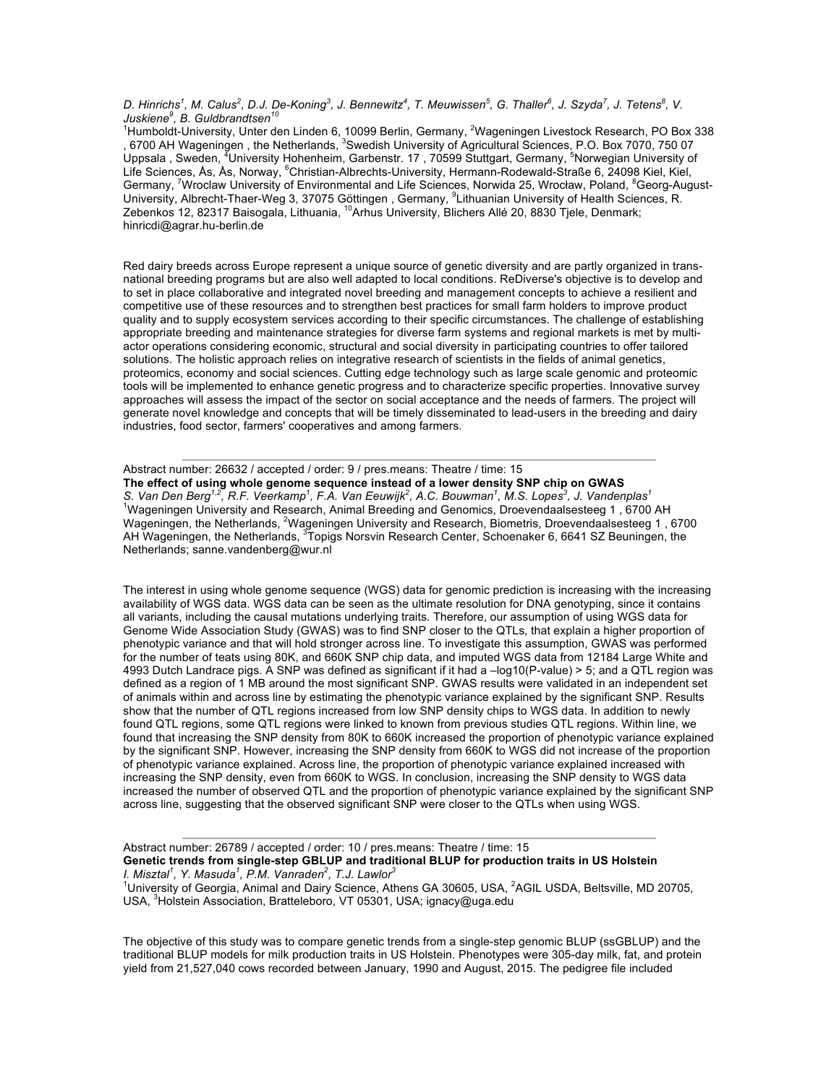D. Hinrichs<sup>1</sup>, M. Calus<sup>2</sup>, D.J. De-Koning<sup>3</sup>, J. Bennewitz<sup>4</sup>, T. Meuwissen<sup>5</sup>, G. Thaller<sup>6</sup>, J. Szyda<sup>7</sup>, J. Tetens<sup>8</sup>, V. *Juskiene<sup>9</sup> , B. Guldbrandtsen<sup>10</sup>*

<sup>1</sup>Humboldt-University, Unter den Linden 6, 10099 Berlin, Germany, <sup>2</sup>Wageningen Livestock Research, PO Box 338 , 6700 AH Wageningen, the Netherlands, <sup>3</sup>Swedish University of Agricultural Sciences, P.O. Box 7070, 750 07 Uppsala , Sweden, <sup>4</sup>University Hohenheim, Garbenstr. 17 , 70599 Stuttgart, Germany, <sup>5</sup>Norwegian University of Life Sciences, Ås, Ås, Norway, <sup>6</sup>Christian-Albrechts-University, Hermann-Rodewald-Straße 6, 24098 Kiel, Kiel, Germany, <sup>7</sup>Wroclaw University of Environmental and Life Sciences, Norwida 25, Wrocław, Poland, <sup>8</sup>Georg-August-University, Albrecht-Thaer-Weg 3, 37075 Göttingen , Germany, <sup>9</sup>Lithuanian University of Health Sciences, R. Zebenkos 12, 82317 Baisogala, Lithuania, <sup>10</sup>Arhus University, Blichers Allé 20, 8830 Tjele, Denmark; hinricdi@agrar.hu-berlin.de

Red dairy breeds across Europe represent a unique source of genetic diversity and are partly organized in transnational breeding programs but are also well adapted to local conditions. ReDiverse's objective is to develop and to set in place collaborative and integrated novel breeding and management concepts to achieve a resilient and competitive use of these resources and to strengthen best practices for small farm holders to improve product quality and to supply ecosystem services according to their specific circumstances. The challenge of establishing appropriate breeding and maintenance strategies for diverse farm systems and regional markets is met by multiactor operations considering economic, structural and social diversity in participating countries to offer tailored solutions. The holistic approach relies on integrative research of scientists in the fields of animal genetics, proteomics, economy and social sciences. Cutting edge technology such as large scale genomic and proteomic tools will be implemented to enhance genetic progress and to characterize specific properties. Innovative survey approaches will assess the impact of the sector on social acceptance and the needs of farmers. The project will generate novel knowledge and concepts that will be timely disseminated to lead-users in the breeding and dairy industries, food sector, farmers' cooperatives and among farmers.

Abstract number: 26632 / accepted / order: 9 / pres.means: Theatre / time: 15 **The effect of using whole genome sequence instead of a lower density SNP chip on GWAS** *S. Van Den Berg1,2, R.F. Veerkamp1 , F.A. Van Eeuwijk<sup>2</sup> , A.C. Bouwman<sup>1</sup> , M.S. Lopes<sup>3</sup> , J. Vandenplas<sup>1</sup>* 1 Wageningen University and Research, Animal Breeding and Genomics, Droevendaalsesteeg 1 , 6700 AH Wageningen, the Netherlands, <sup>2</sup>Wageningen University and Research, Biometris, Droevendaalsesteeg 1, 6700 AH Wageningen, the Netherlands, <sup>3</sup>Topigs Norsvin Research Center, Schoenaker 6, 6641 SZ Beuningen, the Netherlands; sanne.vandenberg@wur.nl

The interest in using whole genome sequence (WGS) data for genomic prediction is increasing with the increasing availability of WGS data. WGS data can be seen as the ultimate resolution for DNA genotyping, since it contains all variants, including the causal mutations underlying traits. Therefore, our assumption of using WGS data for Genome Wide Association Study (GWAS) was to find SNP closer to the QTLs, that explain a higher proportion of phenotypic variance and that will hold stronger across line. To investigate this assumption, GWAS was performed for the number of teats using 80K, and 660K SNP chip data, and imputed WGS data from 12184 Large White and 4993 Dutch Landrace pigs. A SNP was defined as significant if it had a –log10(P-value) > 5; and a QTL region was defined as a region of 1 MB around the most significant SNP. GWAS results were validated in an independent set of animals within and across line by estimating the phenotypic variance explained by the significant SNP. Results show that the number of QTL regions increased from low SNP density chips to WGS data. In addition to newly found QTL regions, some QTL regions were linked to known from previous studies QTL regions. Within line, we found that increasing the SNP density from 80K to 660K increased the proportion of phenotypic variance explained by the significant SNP. However, increasing the SNP density from 660K to WGS did not increase of the proportion of phenotypic variance explained. Across line, the proportion of phenotypic variance explained increased with increasing the SNP density, even from 660K to WGS. In conclusion, increasing the SNP density to WGS data increased the number of observed QTL and the proportion of phenotypic variance explained by the significant SNP across line, suggesting that the observed significant SNP were closer to the QTLs when using WGS.

Abstract number: 26789 / accepted / order: 10 / pres.means: Theatre / time: 15 **Genetic trends from single-step GBLUP and traditional BLUP for production traits in US Holstein** *I. Misztal<sup>1</sup> , Y. Masuda<sup>1</sup> , P.M. Vanraden<sup>2</sup> , T.J. Lawlor<sup>3</sup>* <sup>1</sup>University of Georgia, Animal and Dairy Science, Athens GA 30605, USA, <sup>2</sup>AGIL USDA, Beltsville, MD 20705, USA, <sup>3</sup>Holstein Association, Bratteleboro, VT 05301, USA; ignacy@uga.edu

The objective of this study was to compare genetic trends from a single-step genomic BLUP (ssGBLUP) and the traditional BLUP models for milk production traits in US Holstein. Phenotypes were 305-day milk, fat, and protein yield from 21,527,040 cows recorded between January, 1990 and August, 2015. The pedigree file included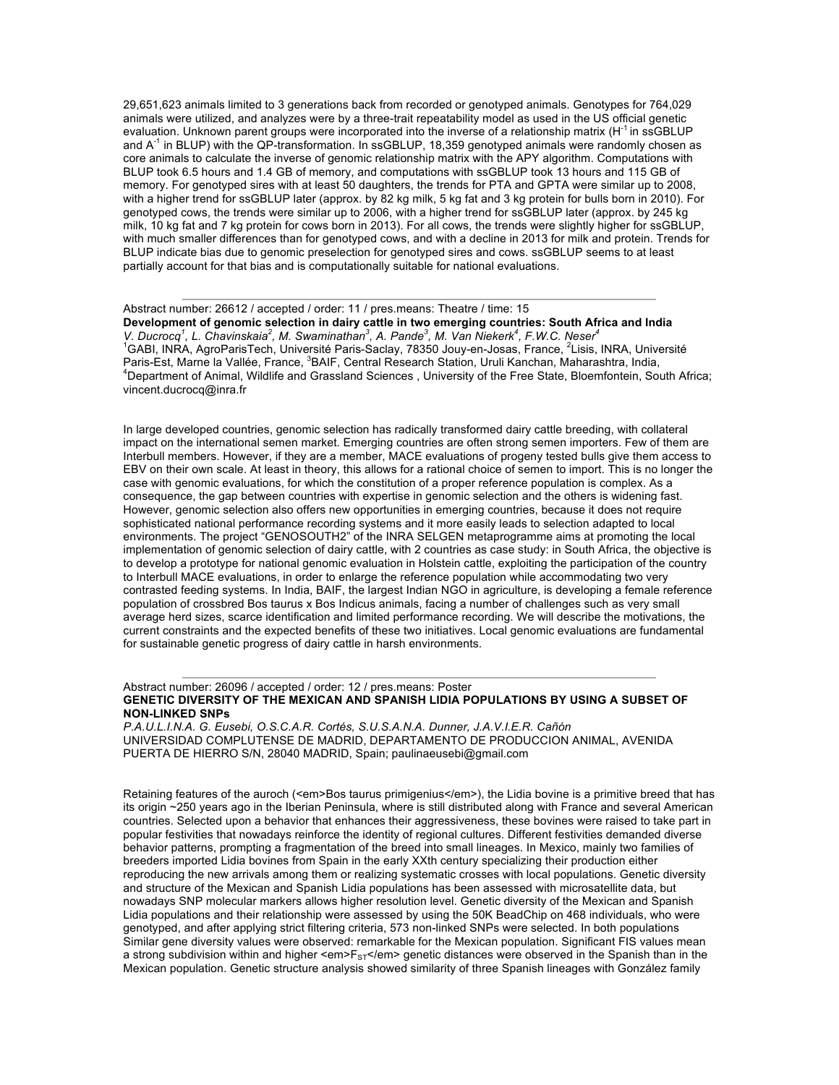29,651,623 animals limited to 3 generations back from recorded or genotyped animals. Genotypes for 764,029 animals were utilized, and analyzes were by a three-trait repeatability model as used in the US official genetic evaluation. Unknown parent groups were incorporated into the inverse of a relationship matrix (H<sup>-1</sup> in ssGBLUP and  $A^{-1}$  in BLUP) with the QP-transformation. In ssGBLUP, 18,359 genotyped animals were randomly chosen as core animals to calculate the inverse of genomic relationship matrix with the APY algorithm. Computations with BLUP took 6.5 hours and 1.4 GB of memory, and computations with ssGBLUP took 13 hours and 115 GB of memory. For genotyped sires with at least 50 daughters, the trends for PTA and GPTA were similar up to 2008, with a higher trend for ssGBLUP later (approx. by 82 kg milk, 5 kg fat and 3 kg protein for bulls born in 2010). For genotyped cows, the trends were similar up to 2006, with a higher trend for ssGBLUP later (approx. by 245 kg milk, 10 kg fat and 7 kg protein for cows born in 2013). For all cows, the trends were slightly higher for ssGBLUP, with much smaller differences than for genotyped cows, and with a decline in 2013 for milk and protein. Trends for BLUP indicate bias due to genomic preselection for genotyped sires and cows. ssGBLUP seems to at least partially account for that bias and is computationally suitable for national evaluations.

Abstract number: 26612 / accepted / order: 11 / pres.means: Theatre / time: 15 **Development of genomic selection in dairy cattle in two emerging countries: South Africa and India**  *V. Ducrocq<sup>1</sup> , L. Chavinskaia<sup>2</sup> , M. Swaminathan<sup>3</sup> , A. Pande<sup>3</sup> , M. Van Niekerk<sup>4</sup> , F.W.C. Neser<sup>4</sup>* <sup>1</sup>GABI, INRA, AgroParisTech, Université Paris-Saclay, 78350 Jouy-en-Josas, France, <sup>2</sup>Lisis, INRA, Université Paris-Est, Marne la Vallée, France, <sup>3</sup>BAIF, Central Research Station, Uruli Kanchan, Maharashtra, India, 4<br><sup>4</sup>Department of Animal Wildlife and Crossland Sciences, University of the Free State Pleamfontain, Sou <sup>4</sup>Department of Animal, Wildlife and Grassland Sciences, University of the Free State, Bloemfontein, South Africa; vincent.ducrocq@inra.fr

In large developed countries, genomic selection has radically transformed dairy cattle breeding, with collateral impact on the international semen market. Emerging countries are often strong semen importers. Few of them are Interbull members. However, if they are a member, MACE evaluations of progeny tested bulls give them access to EBV on their own scale. At least in theory, this allows for a rational choice of semen to import. This is no longer the case with genomic evaluations, for which the constitution of a proper reference population is complex. As a consequence, the gap between countries with expertise in genomic selection and the others is widening fast. However, genomic selection also offers new opportunities in emerging countries, because it does not require sophisticated national performance recording systems and it more easily leads to selection adapted to local environments. The project "GENOSOUTH2" of the INRA SELGEN metaprogramme aims at promoting the local implementation of genomic selection of dairy cattle, with 2 countries as case study: in South Africa, the objective is to develop a prototype for national genomic evaluation in Holstein cattle, exploiting the participation of the country to Interbull MACE evaluations, in order to enlarge the reference population while accommodating two very contrasted feeding systems. In India, BAIF, the largest Indian NGO in agriculture, is developing a female reference population of crossbred Bos taurus x Bos Indicus animals, facing a number of challenges such as very small average herd sizes, scarce identification and limited performance recording. We will describe the motivations, the current constraints and the expected benefits of these two initiatives. Local genomic evaluations are fundamental for sustainable genetic progress of dairy cattle in harsh environments.

## Abstract number: 26096 / accepted / order: 12 / pres.means: Poster **GENETIC DIVERSITY OF THE MEXICAN AND SPANISH LIDIA POPULATIONS BY USING A SUBSET OF NON-LINKED SNPs**

*P.A.U.L.I.N.A. G. Eusebi, O.S.C.A.R. Cortés, S.U.S.A.N.A. Dunner, J.A.V.I.E.R. Cañón* UNIVERSIDAD COMPLUTENSE DE MADRID, DEPARTAMENTO DE PRODUCCION ANIMAL, AVENIDA PUERTA DE HIERRO S/N, 28040 MADRID, Spain; paulinaeusebi@gmail.com

Retaining features of the auroch (<em>Bos taurus primigenius</em>), the Lidia bovine is a primitive breed that has its origin ~250 years ago in the Iberian Peninsula, where is still distributed along with France and several American countries. Selected upon a behavior that enhances their aggressiveness, these bovines were raised to take part in popular festivities that nowadays reinforce the identity of regional cultures. Different festivities demanded diverse behavior patterns, prompting a fragmentation of the breed into small lineages. In Mexico, mainly two families of breeders imported Lidia bovines from Spain in the early XXth century specializing their production either reproducing the new arrivals among them or realizing systematic crosses with local populations. Genetic diversity and structure of the Mexican and Spanish Lidia populations has been assessed with microsatellite data, but nowadays SNP molecular markers allows higher resolution level. Genetic diversity of the Mexican and Spanish Lidia populations and their relationship were assessed by using the 50K BeadChip on 468 individuals, who were genotyped, and after applying strict filtering criteria, 573 non-linked SNPs were selected. In both populations Similar gene diversity values were observed: remarkable for the Mexican population. Significant FIS values mean a strong subdivision within and higher  $\epsilon$ m> $F_{ST}$ </*l*em> genetic distances were observed in the Spanish than in the Mexican population. Genetic structure analysis showed similarity of three Spanish lineages with González family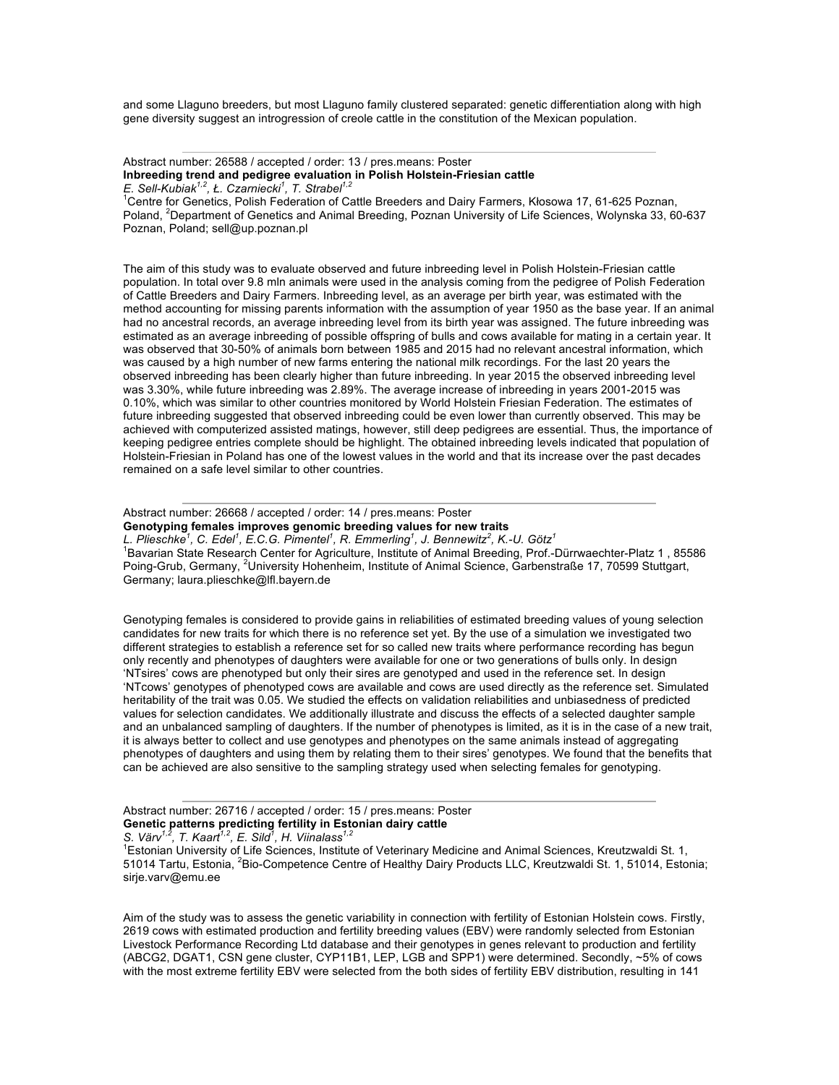and some Llaguno breeders, but most Llaguno family clustered separated: genetic differentiation along with high gene diversity suggest an introgression of creole cattle in the constitution of the Mexican population.

Abstract number: 26588 / accepted / order: 13 / pres.means: Poster **Inbreeding trend and pedigree evaluation in Polish Holstein-Friesian cattle**  *E. Sell-Kubiak1,2, Ł. Czarniecki<sup>1</sup> , T. Strabel1,2*

1 Centre for Genetics, Polish Federation of Cattle Breeders and Dairy Farmers, Kłosowa 17, 61-625 Poznan, Poland, <sup>2</sup>Department of Genetics and Animal Breeding, Poznan University of Life Sciences, Wolynska 33, 60-637 Poznan, Poland; sell@up.poznan.pl

The aim of this study was to evaluate observed and future inbreeding level in Polish Holstein-Friesian cattle population. In total over 9.8 mln animals were used in the analysis coming from the pedigree of Polish Federation of Cattle Breeders and Dairy Farmers. Inbreeding level, as an average per birth year, was estimated with the method accounting for missing parents information with the assumption of year 1950 as the base year. If an animal had no ancestral records, an average inbreeding level from its birth year was assigned. The future inbreeding was estimated as an average inbreeding of possible offspring of bulls and cows available for mating in a certain year. It was observed that 30-50% of animals born between 1985 and 2015 had no relevant ancestral information, which was caused by a high number of new farms entering the national milk recordings. For the last 20 years the observed inbreeding has been clearly higher than future inbreeding. In year 2015 the observed inbreeding level was 3.30%, while future inbreeding was 2.89%. The average increase of inbreeding in years 2001-2015 was 0.10%, which was similar to other countries monitored by World Holstein Friesian Federation. The estimates of future inbreeding suggested that observed inbreeding could be even lower than currently observed. This may be achieved with computerized assisted matings, however, still deep pedigrees are essential. Thus, the importance of keeping pedigree entries complete should be highlight. The obtained inbreeding levels indicated that population of Holstein-Friesian in Poland has one of the lowest values in the world and that its increase over the past decades remained on a safe level similar to other countries.

Abstract number: 26668 / accepted / order: 14 / pres.means: Poster **Genotyping females improves genomic breeding values for new traits**

*L. Plieschke<sup>1</sup> , C. Edel<sup>1</sup> , E.C.G. Pimentel<sup>1</sup> , R. Emmerling<sup>1</sup> , J. Bennewitz<sup>2</sup> , K.-U. Götz<sup>1</sup>* 1 Bavarian State Research Center for Agriculture, Institute of Animal Breeding, Prof.-Dürrwaechter-Platz 1 , 85586 Poing-Grub, Germany, <sup>2</sup>University Hohenheim, Institute of Animal Science, Garbenstraße 17, 70599 Stuttgart, Germany; laura.plieschke@lfl.bayern.de

Genotyping females is considered to provide gains in reliabilities of estimated breeding values of young selection candidates for new traits for which there is no reference set yet. By the use of a simulation we investigated two different strategies to establish a reference set for so called new traits where performance recording has begun only recently and phenotypes of daughters were available for one or two generations of bulls only. In design 'NTsires' cows are phenotyped but only their sires are genotyped and used in the reference set. In design 'NTcows' genotypes of phenotyped cows are available and cows are used directly as the reference set. Simulated heritability of the trait was 0.05. We studied the effects on validation reliabilities and unbiasedness of predicted values for selection candidates. We additionally illustrate and discuss the effects of a selected daughter sample and an unbalanced sampling of daughters. If the number of phenotypes is limited, as it is in the case of a new trait, it is always better to collect and use genotypes and phenotypes on the same animals instead of aggregating phenotypes of daughters and using them by relating them to their sires' genotypes. We found that the benefits that can be achieved are also sensitive to the sampling strategy used when selecting females for genotyping.

Abstract number: 26716 / accepted / order: 15 / pres.means: Poster **Genetic patterns predicting fertility in Estonian dairy cattle**

*S. Värv1,2, T. Kaart1,2, E. Sild1 , H. Viinalass1,2*

<sup>1</sup>Estonian University of Life Sciences, Institute of Veterinary Medicine and Animal Sciences, Kreutzwaldi St. 1, 51014 Tartu, Estonia, <sup>2</sup>Bio-Competence Centre of Healthy Dairy Products LLC, Kreutzwaldi St. 1, 51014, Estonia; sirje.varv@emu.ee

Aim of the study was to assess the genetic variability in connection with fertility of Estonian Holstein cows. Firstly, 2619 cows with estimated production and fertility breeding values (EBV) were randomly selected from Estonian Livestock Performance Recording Ltd database and their genotypes in genes relevant to production and fertility (ABCG2, DGAT1, CSN gene cluster, CYP11B1, LEP, LGB and SPP1) were determined. Secondly, ~5% of cows with the most extreme fertility EBV were selected from the both sides of fertility EBV distribution, resulting in 141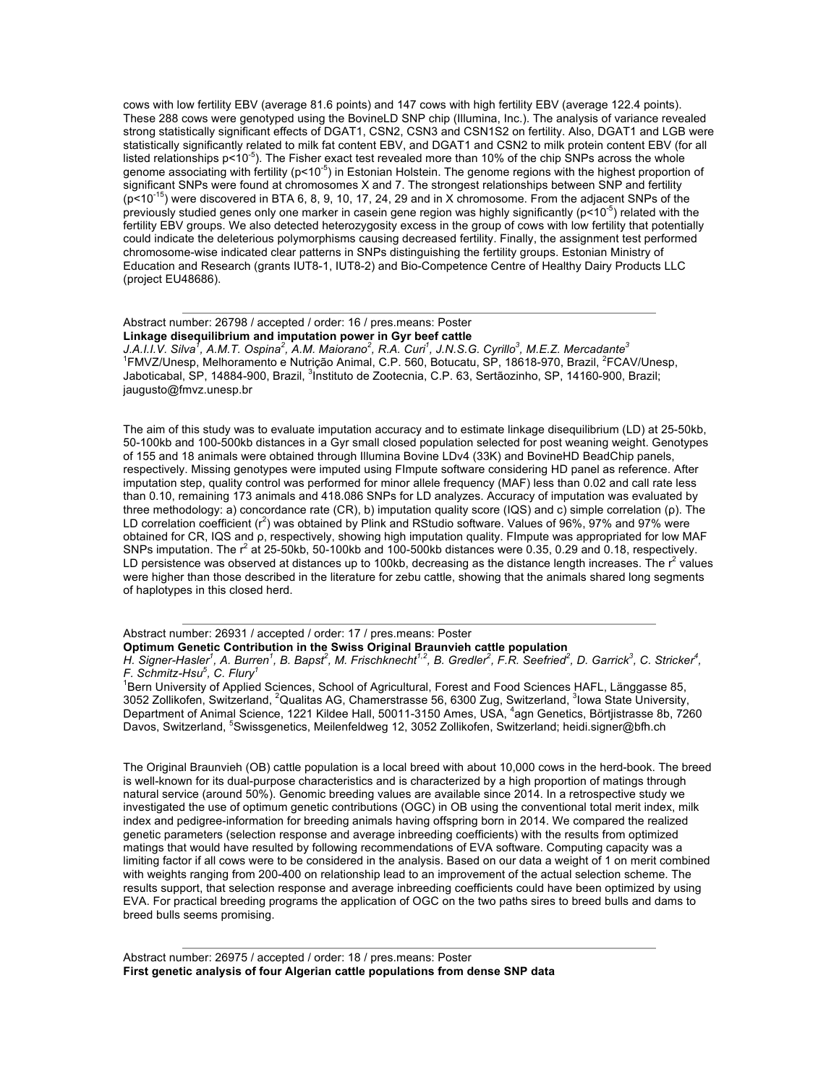cows with low fertility EBV (average 81.6 points) and 147 cows with high fertility EBV (average 122.4 points). These 288 cows were genotyped using the BovineLD SNP chip (Illumina, Inc.). The analysis of variance revealed strong statistically significant effects of DGAT1, CSN2, CSN3 and CSN1S2 on fertility. Also, DGAT1 and LGB were statistically significantly related to milk fat content EBV, and DGAT1 and CSN2 to milk protein content EBV (for all listed relationships  $p < 10^{-5}$ ). The Fisher exact test revealed more than 10% of the chip SNPs across the whole genome associating with fertility (p<10<sup>-5</sup>) in Estonian Holstein. The genome regions with the highest proportion of significant SNPs were found at chromosomes X and 7. The strongest relationships between SNP and fertility  $(p<10^{-15})$  were discovered in BTA 6, 8, 9, 10, 17, 24, 29 and in X chromosome. From the adjacent SNPs of the previously studied genes only one marker in casein gene region was highly significantly (p<10<sup>-5</sup>) related with the fertility EBV groups. We also detected heterozygosity excess in the group of cows with low fertility that potentially could indicate the deleterious polymorphisms causing decreased fertility. Finally, the assignment test performed chromosome-wise indicated clear patterns in SNPs distinguishing the fertility groups. Estonian Ministry of Education and Research (grants IUT8-1, IUT8-2) and Bio-Competence Centre of Healthy Dairy Products LLC (project EU48686).

Abstract number: 26798 / accepted / order: 16 / pres.means: Poster **Linkage disequilibrium and imputation power in Gyr beef cattle** *J.A.I.I.V. Silva<sup>1</sup> , A.M.T. Ospina<sup>2</sup> , A.M. Maiorano<sup>2</sup> , R.A. Curi<sup>1</sup> , J.N.S.G. Cyrillo<sup>3</sup> , M.E.Z. Mercadante<sup>3</sup>* <sup>1</sup> FMVZ/Unesp, Melhoramento e Nutrição Animal, C.P. 560, Botucatu, SP, 18618-970, Brazil, <sup>2</sup>FCAV/Unesp, Jaboticabal, SP, 14884-900, Brazil, <sup>3</sup>instituto de Zootecnia, C.P. 63, Sertãozinho, SP, 14160-900, Brazil; jaugusto@fmvz.unesp.br

The aim of this study was to evaluate imputation accuracy and to estimate linkage disequilibrium (LD) at 25-50kb, 50-100kb and 100-500kb distances in a Gyr small closed population selected for post weaning weight. Genotypes of 155 and 18 animals were obtained through Illumina Bovine LDv4 (33K) and BovineHD BeadChip panels, respectively. Missing genotypes were imputed using FImpute software considering HD panel as reference. After imputation step, quality control was performed for minor allele frequency (MAF) less than 0.02 and call rate less than 0.10, remaining 173 animals and 418.086 SNPs for LD analyzes. Accuracy of imputation was evaluated by three methodology: a) concordance rate (CR), b) imputation quality score (IQS) and c) simple correlation (ρ). The LD correlation coefficient  $(r^2)$  was obtained by Plink and RStudio software. Values of 96%, 97% and 97% were obtained for CR, IQS and ρ, respectively, showing high imputation quality. FImpute was appropriated for low MAF SNPs imputation. The  $r^2$  at 25-50kb, 50-100kb and 100-500kb distances were 0.35, 0.29 and 0.18, respectively. LD persistence was observed at distances up to 100kb, decreasing as the distance length increases. The  $r^2$  values were higher than those described in the literature for zebu cattle, showing that the animals shared long segments of haplotypes in this closed herd.

## Abstract number: 26931 / accepted / order: 17 / pres.means: Poster

**Optimum Genetic Contribution in the Swiss Original Braunvieh cattle population**

H. Signer-Hasler<sup>1</sup>, A. Burren<sup>1</sup>, B. Bapst<sup>2</sup>, M. Frischknecht<sup>1,2</sup>, B. Gredler<sup>2</sup>, F.R. Seefried<sup>2</sup>, D. Garrick<sup>3</sup>, C. Stricker<sup>4</sup>, *F. Schmitz-Hsu<sup>5</sup> , C. Flury<sup>1</sup>*

<sup>1</sup>Bern University of Applied Sciences, School of Agricultural, Forest and Food Sciences HAFL, Länggasse 85, 3052 Zollikofen, Switzerland, <sup>2</sup>Qualitas AG, Chamerstrasse 56, 6300 Zug, Switzerland, <sup>3</sup>lowa State University, Department of Animal Science, 1221 Kildee Hall, 50011-3150 Ames, USA, <sup>4</sup>agn Genetics, Börtjistrasse 8b, 7260 Davos, Switzerland, <sup>5</sup>Swissgenetics, Meilenfeldweg 12, 3052 Zollikofen, Switzerland; heidi.signer@bfh.ch

The Original Braunvieh (OB) cattle population is a local breed with about 10,000 cows in the herd-book. The breed is well-known for its dual-purpose characteristics and is characterized by a high proportion of matings through natural service (around 50%). Genomic breeding values are available since 2014. In a retrospective study we investigated the use of optimum genetic contributions (OGC) in OB using the conventional total merit index, milk index and pedigree-information for breeding animals having offspring born in 2014. We compared the realized genetic parameters (selection response and average inbreeding coefficients) with the results from optimized matings that would have resulted by following recommendations of EVA software. Computing capacity was a limiting factor if all cows were to be considered in the analysis. Based on our data a weight of 1 on merit combined with weights ranging from 200-400 on relationship lead to an improvement of the actual selection scheme. The results support, that selection response and average inbreeding coefficients could have been optimized by using EVA. For practical breeding programs the application of OGC on the two paths sires to breed bulls and dams to breed bulls seems promising.